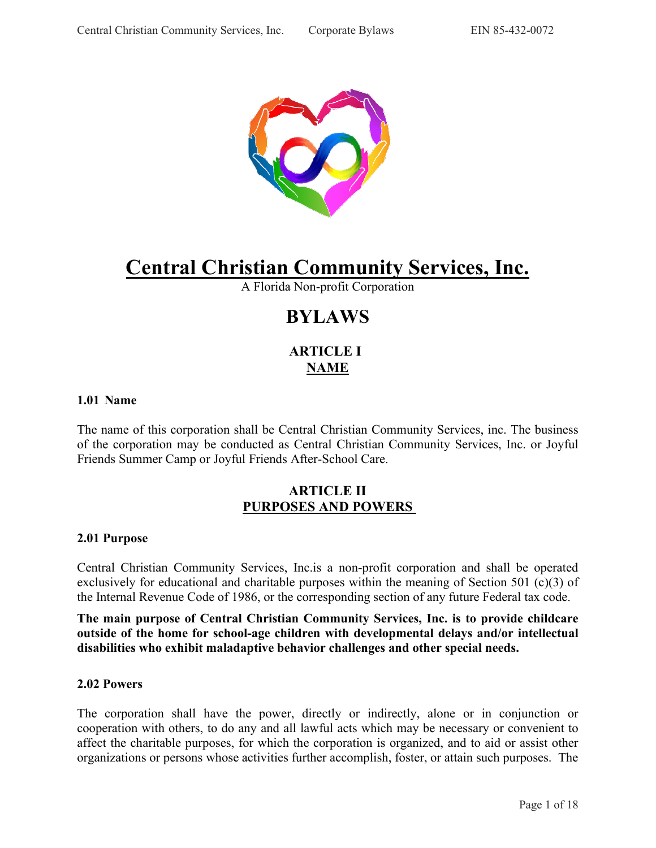

# **Central Christian Community Services, Inc.**

A Florida Non-profit Corporation

# **BYLAWS**

# **ARTICLE I NAME**

#### **1.01 Name**

The name of this corporation shall be Central Christian Community Services, inc. The business of the corporation may be conducted as Central Christian Community Services, Inc. or Joyful Friends Summer Camp or Joyful Friends After-School Care.

# **ARTICLE II PURPOSES AND POWERS**

#### **2.01 Purpose**

Central Christian Community Services, Inc.is a non-profit corporation and shall be operated exclusively for educational and charitable purposes within the meaning of Section 501 (c)(3) of the Internal Revenue Code of 1986, or the corresponding section of any future Federal tax code.

**The main purpose of Central Christian Community Services, Inc. is to provide childcare outside of the home for school-age children with developmental delays and/or intellectual disabilities who exhibit maladaptive behavior challenges and other special needs.**

#### **2.02 Powers**

The corporation shall have the power, directly or indirectly, alone or in conjunction or cooperation with others, to do any and all lawful acts which may be necessary or convenient to affect the charitable purposes, for which the corporation is organized, and to aid or assist other organizations or persons whose activities further accomplish, foster, or attain such purposes. The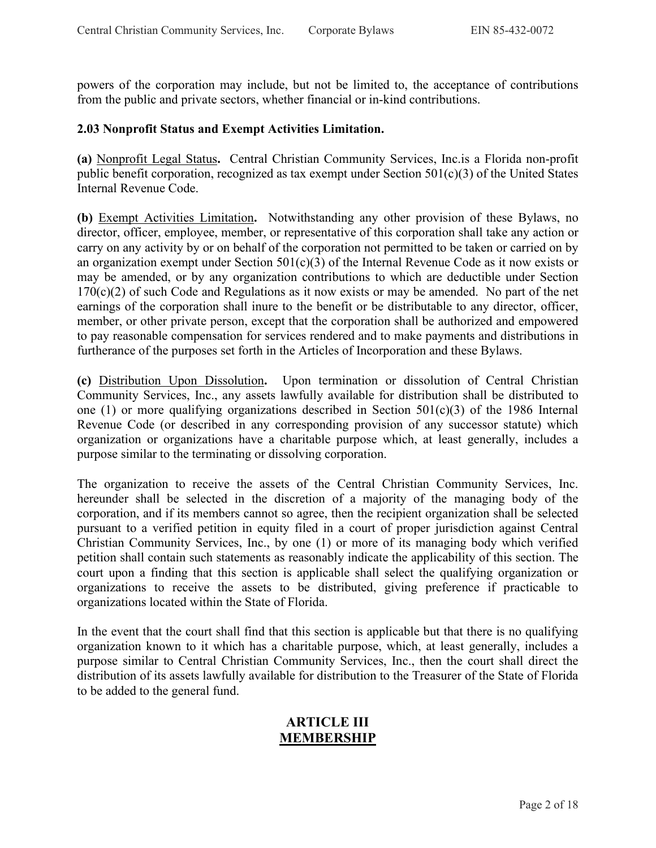powers of the corporation may include, but not be limited to, the acceptance of contributions from the public and private sectors, whether financial or in-kind contributions.

# **2.03 Nonprofit Status and Exempt Activities Limitation.**

**(a)** Nonprofit Legal Status**.** Central Christian Community Services, Inc.is a Florida non-profit public benefit corporation, recognized as tax exempt under Section  $501(c)(3)$  of the United States Internal Revenue Code.

**(b)** Exempt Activities Limitation**.** Notwithstanding any other provision of these Bylaws, no director, officer, employee, member, or representative of this corporation shall take any action or carry on any activity by or on behalf of the corporation not permitted to be taken or carried on by an organization exempt under Section 501(c)(3) of the Internal Revenue Code as it now exists or may be amended, or by any organization contributions to which are deductible under Section  $170(c)(2)$  of such Code and Regulations as it now exists or may be amended. No part of the net earnings of the corporation shall inure to the benefit or be distributable to any director, officer, member, or other private person, except that the corporation shall be authorized and empowered to pay reasonable compensation for services rendered and to make payments and distributions in furtherance of the purposes set forth in the Articles of Incorporation and these Bylaws.

**(c)** Distribution Upon Dissolution**.** Upon termination or dissolution of Central Christian Community Services, Inc., any assets lawfully available for distribution shall be distributed to one (1) or more qualifying organizations described in Section 501(c)(3) of the 1986 Internal Revenue Code (or described in any corresponding provision of any successor statute) which organization or organizations have a charitable purpose which, at least generally, includes a purpose similar to the terminating or dissolving corporation.

The organization to receive the assets of the Central Christian Community Services, Inc. hereunder shall be selected in the discretion of a majority of the managing body of the corporation, and if its members cannot so agree, then the recipient organization shall be selected pursuant to a verified petition in equity filed in a court of proper jurisdiction against Central Christian Community Services, Inc., by one (1) or more of its managing body which verified petition shall contain such statements as reasonably indicate the applicability of this section. The court upon a finding that this section is applicable shall select the qualifying organization or organizations to receive the assets to be distributed, giving preference if practicable to organizations located within the State of Florida.

In the event that the court shall find that this section is applicable but that there is no qualifying organization known to it which has a charitable purpose, which, at least generally, includes a purpose similar to Central Christian Community Services, Inc., then the court shall direct the distribution of its assets lawfully available for distribution to the Treasurer of the State of Florida to be added to the general fund.

# **ARTICLE III MEMBERSHIP**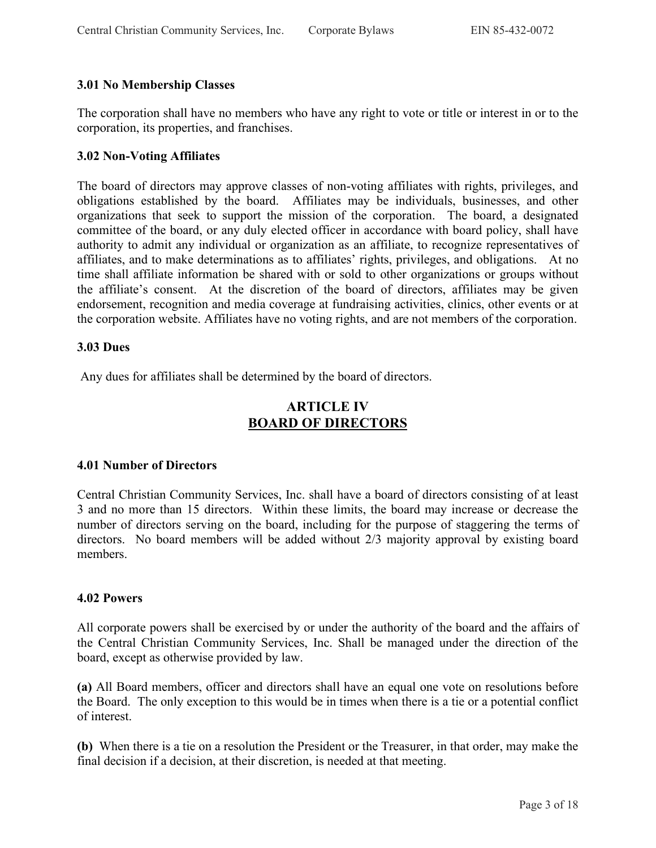# **3.01 No Membership Classes**

The corporation shall have no members who have any right to vote or title or interest in or to the corporation, its properties, and franchises.

# **3.02 Non-Voting Affiliates**

The board of directors may approve classes of non-voting affiliates with rights, privileges, and obligations established by the board. Affiliates may be individuals, businesses, and other organizations that seek to support the mission of the corporation. The board, a designated committee of the board, or any duly elected officer in accordance with board policy, shall have authority to admit any individual or organization as an affiliate, to recognize representatives of affiliates, and to make determinations as to affiliates' rights, privileges, and obligations. At no time shall affiliate information be shared with or sold to other organizations or groups without the affiliate's consent. At the discretion of the board of directors, affiliates may be given endorsement, recognition and media coverage at fundraising activities, clinics, other events or at the corporation website. Affiliates have no voting rights, and are not members of the corporation.

#### **3.03 Dues**

Any dues for affiliates shall be determined by the board of directors.

# **ARTICLE IV BOARD OF DIRECTORS**

#### **4.01 Number of Directors**

Central Christian Community Services, Inc. shall have a board of directors consisting of at least 3 and no more than 15 directors. Within these limits, the board may increase or decrease the number of directors serving on the board, including for the purpose of staggering the terms of directors. No board members will be added without 2/3 majority approval by existing board members.

#### **4.02 Powers**

All corporate powers shall be exercised by or under the authority of the board and the affairs of the Central Christian Community Services, Inc. Shall be managed under the direction of the board, except as otherwise provided by law.

**(a)** All Board members, officer and directors shall have an equal one vote on resolutions before the Board. The only exception to this would be in times when there is a tie or a potential conflict of interest.

**(b)** When there is a tie on a resolution the President or the Treasurer, in that order, may make the final decision if a decision, at their discretion, is needed at that meeting.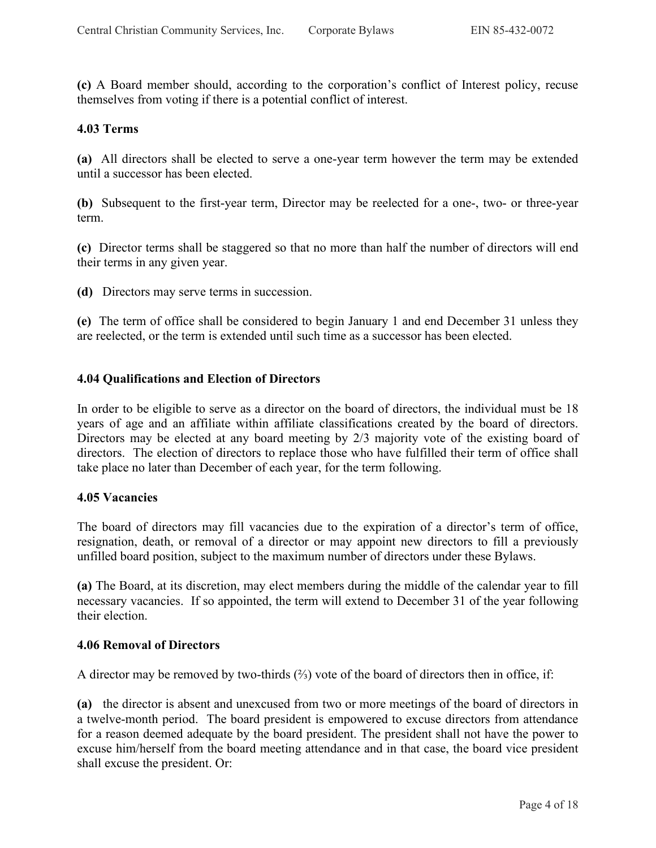**(c)** A Board member should, according to the corporation's conflict of Interest policy, recuse themselves from voting if there is a potential conflict of interest.

#### **4.03 Terms**

**(a)** All directors shall be elected to serve a one-year term however the term may be extended until a successor has been elected.

**(b)** Subsequent to the first-year term, Director may be reelected for a one-, two- or three-year term.

**(c)** Director terms shall be staggered so that no more than half the number of directors will end their terms in any given year.

**(d)** Directors may serve terms in succession.

**(e)** The term of office shall be considered to begin January 1 and end December 31 unless they are reelected, or the term is extended until such time as a successor has been elected.

#### **4.04 Qualifications and Election of Directors**

In order to be eligible to serve as a director on the board of directors, the individual must be 18 years of age and an affiliate within affiliate classifications created by the board of directors. Directors may be elected at any board meeting by 2/3 majority vote of the existing board of directors. The election of directors to replace those who have fulfilled their term of office shall take place no later than December of each year, for the term following.

#### **4.05 Vacancies**

The board of directors may fill vacancies due to the expiration of a director's term of office, resignation, death, or removal of a director or may appoint new directors to fill a previously unfilled board position, subject to the maximum number of directors under these Bylaws.

**(a)** The Board, at its discretion, may elect members during the middle of the calendar year to fill necessary vacancies. If so appointed, the term will extend to December 31 of the year following their election.

#### **4.06 Removal of Directors**

A director may be removed by two-thirds (⅔) vote of the board of directors then in office, if:

**(a)** the director is absent and unexcused from two or more meetings of the board of directors in a twelve-month period. The board president is empowered to excuse directors from attendance for a reason deemed adequate by the board president. The president shall not have the power to excuse him/herself from the board meeting attendance and in that case, the board vice president shall excuse the president. Or: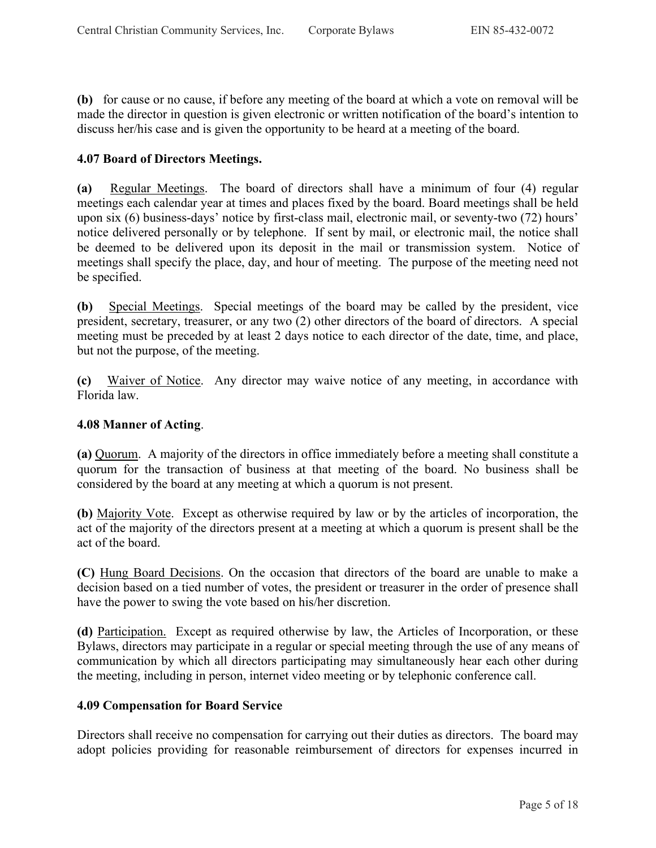**(b)** for cause or no cause, if before any meeting of the board at which a vote on removal will be made the director in question is given electronic or written notification of the board's intention to discuss her/his case and is given the opportunity to be heard at a meeting of the board.

# **4.07 Board of Directors Meetings.**

**(a)** Regular Meetings. The board of directors shall have a minimum of four (4) regular meetings each calendar year at times and places fixed by the board. Board meetings shall be held upon six (6) business-days' notice by first-class mail, electronic mail, or seventy-two (72) hours' notice delivered personally or by telephone. If sent by mail, or electronic mail, the notice shall be deemed to be delivered upon its deposit in the mail or transmission system. Notice of meetings shall specify the place, day, and hour of meeting. The purpose of the meeting need not be specified.

**(b)** Special Meetings. Special meetings of the board may be called by the president, vice president, secretary, treasurer, or any two (2) other directors of the board of directors. A special meeting must be preceded by at least 2 days notice to each director of the date, time, and place, but not the purpose, of the meeting.

**(c)** Waiver of Notice. Any director may waive notice of any meeting, in accordance with Florida law.

# **4.08 Manner of Acting**.

**(a)** Quorum. A majority of the directors in office immediately before a meeting shall constitute a quorum for the transaction of business at that meeting of the board. No business shall be considered by the board at any meeting at which a quorum is not present.

**(b)** Majority Vote.Except as otherwise required by law or by the articles of incorporation, the act of the majority of the directors present at a meeting at which a quorum is present shall be the act of the board.

**(C)** Hung Board Decisions. On the occasion that directors of the board are unable to make a decision based on a tied number of votes, the president or treasurer in the order of presence shall have the power to swing the vote based on his/her discretion.

**(d)** Participation.Except as required otherwise by law, the Articles of Incorporation, or these Bylaws, directors may participate in a regular or special meeting through the use of any means of communication by which all directors participating may simultaneously hear each other during the meeting, including in person, internet video meeting or by telephonic conference call.

# **4.09 Compensation for Board Service**

Directors shall receive no compensation for carrying out their duties as directors. The board may adopt policies providing for reasonable reimbursement of directors for expenses incurred in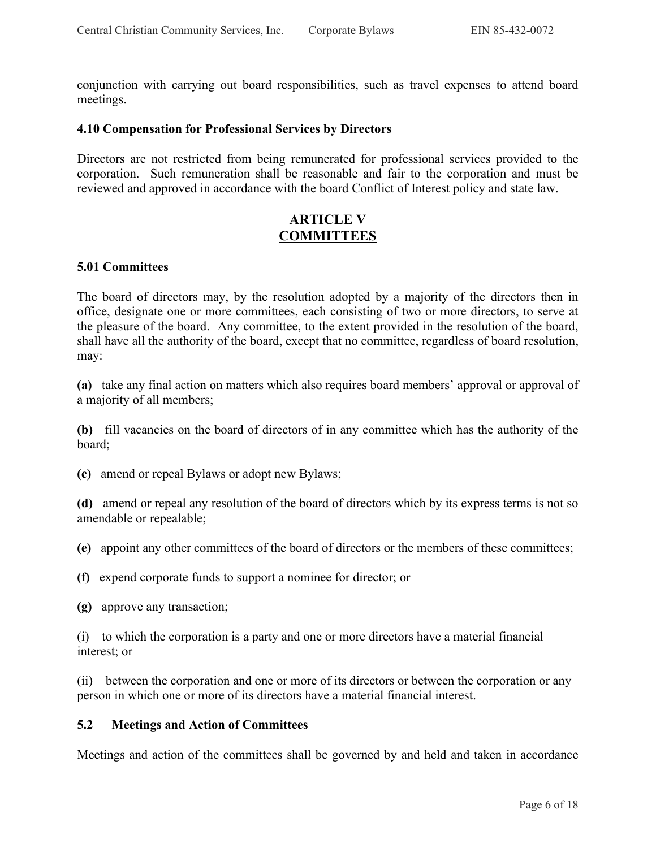conjunction with carrying out board responsibilities, such as travel expenses to attend board meetings.

#### **4.10 Compensation for Professional Services by Directors**

Directors are not restricted from being remunerated for professional services provided to the corporation. Such remuneration shall be reasonable and fair to the corporation and must be reviewed and approved in accordance with the board Conflict of Interest policy and state law.

# **ARTICLE V COMMITTEES**

#### **5.01 Committees**

The board of directors may, by the resolution adopted by a majority of the directors then in office, designate one or more committees, each consisting of two or more directors, to serve at the pleasure of the board. Any committee, to the extent provided in the resolution of the board, shall have all the authority of the board, except that no committee, regardless of board resolution, may:

**(a)** take any final action on matters which also requires board members' approval or approval of a majority of all members;

**(b)** fill vacancies on the board of directors of in any committee which has the authority of the board;

**(c)** amend or repeal Bylaws or adopt new Bylaws;

**(d)** amend or repeal any resolution of the board of directors which by its express terms is not so amendable or repealable;

**(e)** appoint any other committees of the board of directors or the members of these committees;

**(f)** expend corporate funds to support a nominee for director; or

**(g)** approve any transaction;

(i) to which the corporation is a party and one or more directors have a material financial interest; or

(ii) between the corporation and one or more of its directors or between the corporation or any person in which one or more of its directors have a material financial interest.

#### **5.2 Meetings and Action of Committees**

Meetings and action of the committees shall be governed by and held and taken in accordance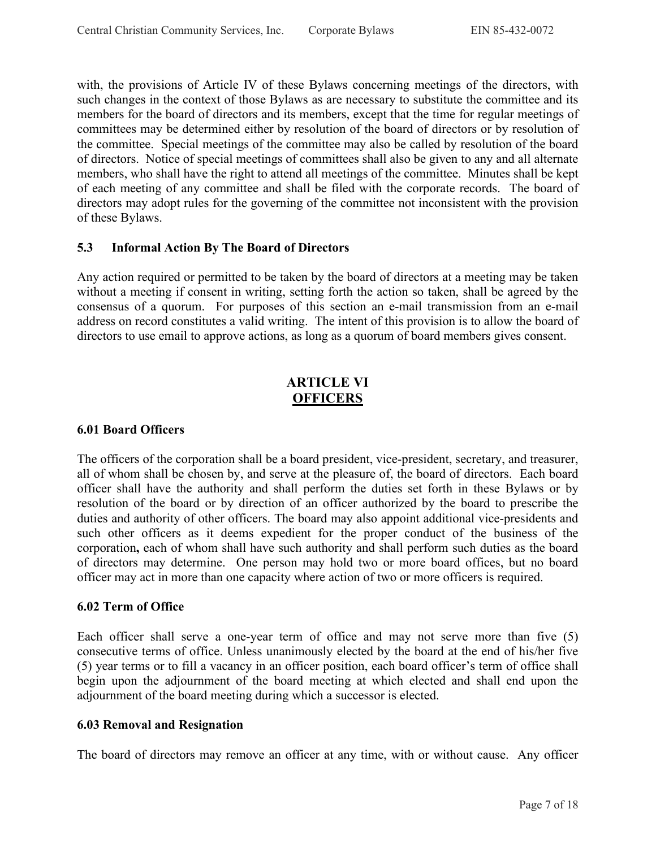with, the provisions of Article IV of these Bylaws concerning meetings of the directors, with such changes in the context of those Bylaws as are necessary to substitute the committee and its members for the board of directors and its members, except that the time for regular meetings of committees may be determined either by resolution of the board of directors or by resolution of the committee. Special meetings of the committee may also be called by resolution of the board of directors. Notice of special meetings of committees shall also be given to any and all alternate members, who shall have the right to attend all meetings of the committee. Minutes shall be kept of each meeting of any committee and shall be filed with the corporate records. The board of directors may adopt rules for the governing of the committee not inconsistent with the provision of these Bylaws.

# **5.3 Informal Action By The Board of Directors**

Any action required or permitted to be taken by the board of directors at a meeting may be taken without a meeting if consent in writing, setting forth the action so taken, shall be agreed by the consensus of a quorum. For purposes of this section an e-mail transmission from an e-mail address on record constitutes a valid writing. The intent of this provision is to allow the board of directors to use email to approve actions, as long as a quorum of board members gives consent.

# **ARTICLE VI OFFICERS**

# **6.01 Board Officers**

The officers of the corporation shall be a board president, vice-president, secretary, and treasurer, all of whom shall be chosen by, and serve at the pleasure of, the board of directors. Each board officer shall have the authority and shall perform the duties set forth in these Bylaws or by resolution of the board or by direction of an officer authorized by the board to prescribe the duties and authority of other officers. The board may also appoint additional vice-presidents and such other officers as it deems expedient for the proper conduct of the business of the corporation**,** each of whom shall have such authority and shall perform such duties as the board of directors may determine. One person may hold two or more board offices, but no board officer may act in more than one capacity where action of two or more officers is required.

# **6.02 Term of Office**

Each officer shall serve a one-year term of office and may not serve more than five (5) consecutive terms of office. Unless unanimously elected by the board at the end of his/her five (5) year terms or to fill a vacancy in an officer position, each board officer's term of office shall begin upon the adjournment of the board meeting at which elected and shall end upon the adjournment of the board meeting during which a successor is elected.

# **6.03 Removal and Resignation**

The board of directors may remove an officer at any time, with or without cause. Any officer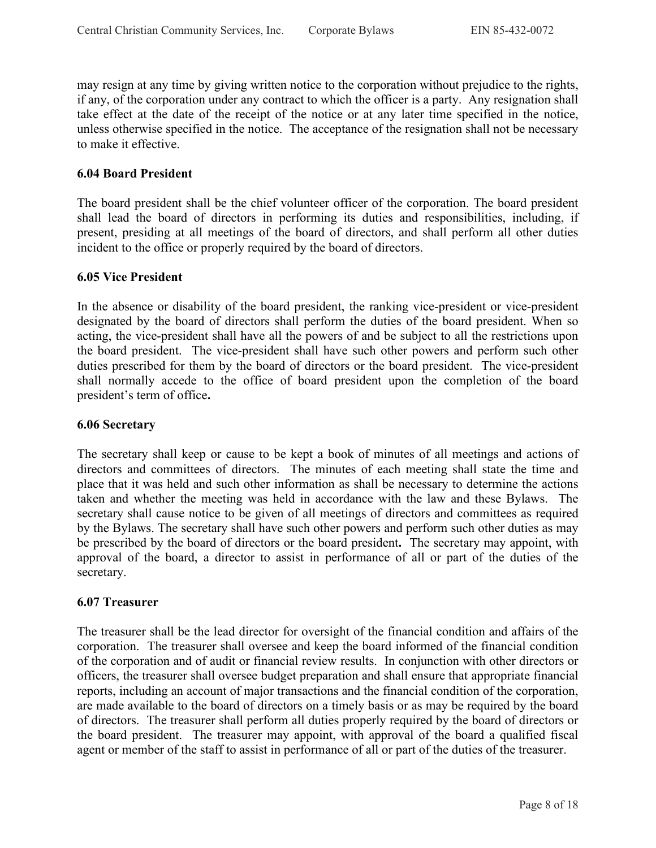may resign at any time by giving written notice to the corporation without prejudice to the rights, if any, of the corporation under any contract to which the officer is a party. Any resignation shall take effect at the date of the receipt of the notice or at any later time specified in the notice, unless otherwise specified in the notice. The acceptance of the resignation shall not be necessary to make it effective.

#### **6.04 Board President**

The board president shall be the chief volunteer officer of the corporation. The board president shall lead the board of directors in performing its duties and responsibilities, including, if present, presiding at all meetings of the board of directors, and shall perform all other duties incident to the office or properly required by the board of directors.

#### **6.05 Vice President**

In the absence or disability of the board president, the ranking vice-president or vice-president designated by the board of directors shall perform the duties of the board president. When so acting, the vice-president shall have all the powers of and be subject to all the restrictions upon the board president. The vice-president shall have such other powers and perform such other duties prescribed for them by the board of directors or the board president. The vice-president shall normally accede to the office of board president upon the completion of the board president's term of office**.**

#### **6.06 Secretary**

The secretary shall keep or cause to be kept a book of minutes of all meetings and actions of directors and committees of directors. The minutes of each meeting shall state the time and place that it was held and such other information as shall be necessary to determine the actions taken and whether the meeting was held in accordance with the law and these Bylaws. The secretary shall cause notice to be given of all meetings of directors and committees as required by the Bylaws. The secretary shall have such other powers and perform such other duties as may be prescribed by the board of directors or the board president**.** The secretary may appoint, with approval of the board, a director to assist in performance of all or part of the duties of the secretary.

#### **6.07 Treasurer**

The treasurer shall be the lead director for oversight of the financial condition and affairs of the corporation. The treasurer shall oversee and keep the board informed of the financial condition of the corporation and of audit or financial review results. In conjunction with other directors or officers, the treasurer shall oversee budget preparation and shall ensure that appropriate financial reports, including an account of major transactions and the financial condition of the corporation, are made available to the board of directors on a timely basis or as may be required by the board of directors. The treasurer shall perform all duties properly required by the board of directors or the board president. The treasurer may appoint, with approval of the board a qualified fiscal agent or member of the staff to assist in performance of all or part of the duties of the treasurer.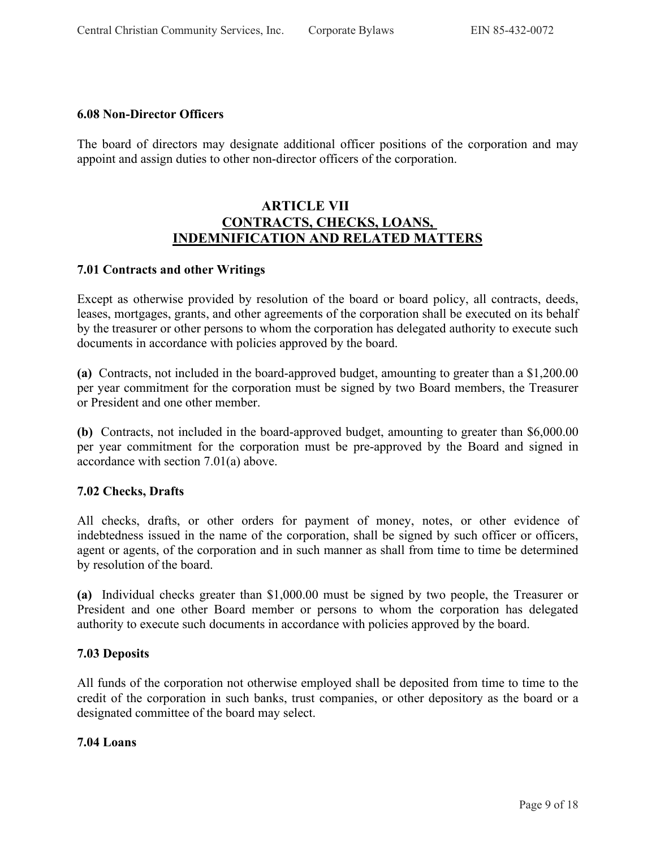### **6.08 Non-Director Officers**

The board of directors may designate additional officer positions of the corporation and may appoint and assign duties to other non-director officers of the corporation.

# **ARTICLE VII CONTRACTS, CHECKS, LOANS, INDEMNIFICATION AND RELATED MATTERS**

#### **7.01 Contracts and other Writings**

Except as otherwise provided by resolution of the board or board policy, all contracts, deeds, leases, mortgages, grants, and other agreements of the corporation shall be executed on its behalf by the treasurer or other persons to whom the corporation has delegated authority to execute such documents in accordance with policies approved by the board.

**(a)** Contracts, not included in the board-approved budget, amounting to greater than a \$1,200.00 per year commitment for the corporation must be signed by two Board members, the Treasurer or President and one other member.

**(b)** Contracts, not included in the board-approved budget, amounting to greater than \$6,000.00 per year commitment for the corporation must be pre-approved by the Board and signed in accordance with section 7.01(a) above.

#### **7.02 Checks, Drafts**

All checks, drafts, or other orders for payment of money, notes, or other evidence of indebtedness issued in the name of the corporation, shall be signed by such officer or officers, agent or agents, of the corporation and in such manner as shall from time to time be determined by resolution of the board.

**(a)** Individual checks greater than \$1,000.00 must be signed by two people, the Treasurer or President and one other Board member or persons to whom the corporation has delegated authority to execute such documents in accordance with policies approved by the board.

#### **7.03 Deposits**

All funds of the corporation not otherwise employed shall be deposited from time to time to the credit of the corporation in such banks, trust companies, or other depository as the board or a designated committee of the board may select.

#### **7.04 Loans**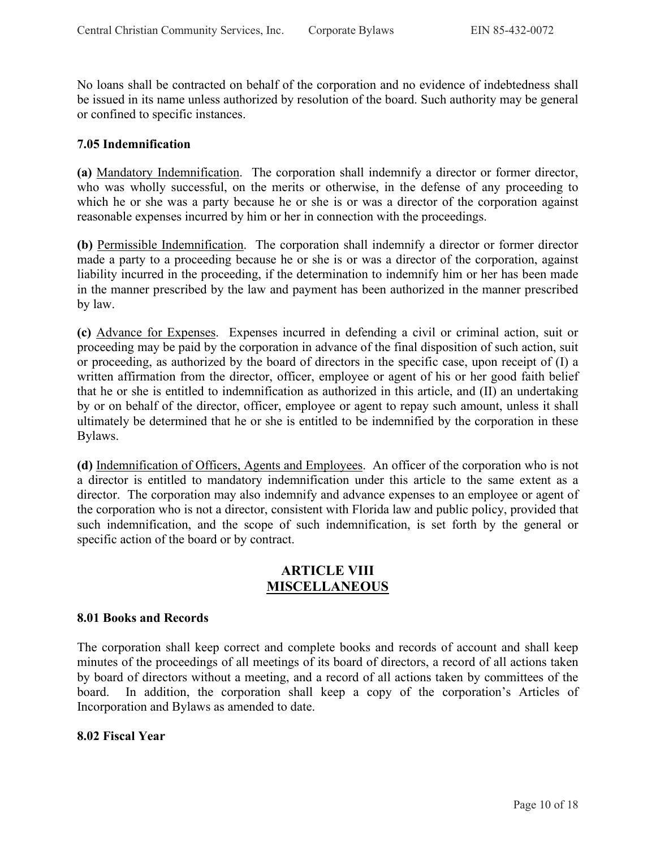No loans shall be contracted on behalf of the corporation and no evidence of indebtedness shall be issued in its name unless authorized by resolution of the board. Such authority may be general or confined to specific instances.

# **7.05 Indemnification**

**(a)** Mandatory Indemnification.The corporation shall indemnify a director or former director, who was wholly successful, on the merits or otherwise, in the defense of any proceeding to which he or she was a party because he or she is or was a director of the corporation against reasonable expenses incurred by him or her in connection with the proceedings.

**(b)** Permissible Indemnification.The corporation shall indemnify a director or former director made a party to a proceeding because he or she is or was a director of the corporation, against liability incurred in the proceeding, if the determination to indemnify him or her has been made in the manner prescribed by the law and payment has been authorized in the manner prescribed by law.

**(c)** Advance for Expenses.Expenses incurred in defending a civil or criminal action, suit or proceeding may be paid by the corporation in advance of the final disposition of such action, suit or proceeding, as authorized by the board of directors in the specific case, upon receipt of (I) a written affirmation from the director, officer, employee or agent of his or her good faith belief that he or she is entitled to indemnification as authorized in this article, and (II) an undertaking by or on behalf of the director, officer, employee or agent to repay such amount, unless it shall ultimately be determined that he or she is entitled to be indemnified by the corporation in these Bylaws.

**(d)** Indemnification of Officers, Agents and Employees.An officer of the corporation who is not a director is entitled to mandatory indemnification under this article to the same extent as a director. The corporation may also indemnify and advance expenses to an employee or agent of the corporation who is not a director, consistent with Florida law and public policy, provided that such indemnification, and the scope of such indemnification, is set forth by the general or specific action of the board or by contract.

# **ARTICLE VIII MISCELLANEOUS**

#### **8.01 Books and Records**

The corporation shall keep correct and complete books and records of account and shall keep minutes of the proceedings of all meetings of its board of directors, a record of all actions taken by board of directors without a meeting, and a record of all actions taken by committees of the board. In addition, the corporation shall keep a copy of the corporation's Articles of Incorporation and Bylaws as amended to date.

# **8.02 Fiscal Year**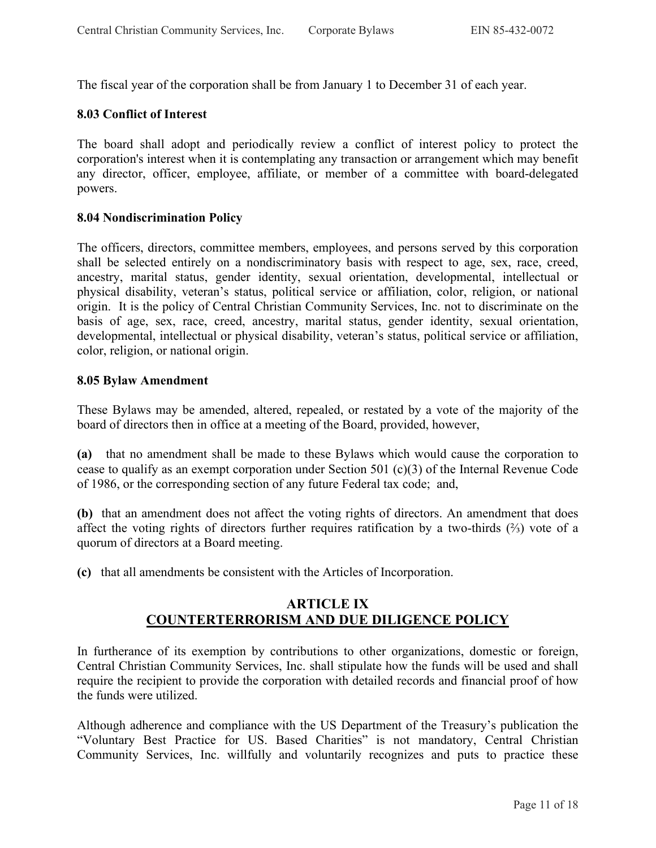The fiscal year of the corporation shall be from January 1 to December 31 of each year.

# **8.03 Conflict of Interest**

The board shall adopt and periodically review a conflict of interest policy to protect the corporation's interest when it is contemplating any transaction or arrangement which may benefit any director, officer, employee, affiliate, or member of a committee with board-delegated powers.

#### **8.04 Nondiscrimination Policy**

The officers, directors, committee members, employees, and persons served by this corporation shall be selected entirely on a nondiscriminatory basis with respect to age, sex, race, creed, ancestry, marital status, gender identity, sexual orientation, developmental, intellectual or physical disability, veteran's status, political service or affiliation, color, religion, or national origin. It is the policy of Central Christian Community Services, Inc. not to discriminate on the basis of age, sex, race, creed, ancestry, marital status, gender identity, sexual orientation, developmental, intellectual or physical disability, veteran's status, political service or affiliation, color, religion, or national origin.

#### **8.05 Bylaw Amendment**

These Bylaws may be amended, altered, repealed, or restated by a vote of the majority of the board of directors then in office at a meeting of the Board, provided, however,

**(a)** that no amendment shall be made to these Bylaws which would cause the corporation to cease to qualify as an exempt corporation under Section 501 (c)(3) of the Internal Revenue Code of 1986, or the corresponding section of any future Federal tax code; and,

**(b)** that an amendment does not affect the voting rights of directors. An amendment that does affect the voting rights of directors further requires ratification by a two-thirds (⅔) vote of a quorum of directors at a Board meeting.

**(c)** that all amendments be consistent with the Articles of Incorporation.

# **ARTICLE IX COUNTERTERRORISM AND DUE DILIGENCE POLICY**

In furtherance of its exemption by contributions to other organizations, domestic or foreign, Central Christian Community Services, Inc. shall stipulate how the funds will be used and shall require the recipient to provide the corporation with detailed records and financial proof of how the funds were utilized.

Although adherence and compliance with the US Department of the Treasury's publication the "Voluntary Best Practice for US. Based Charities" is not mandatory, Central Christian Community Services, Inc. willfully and voluntarily recognizes and puts to practice these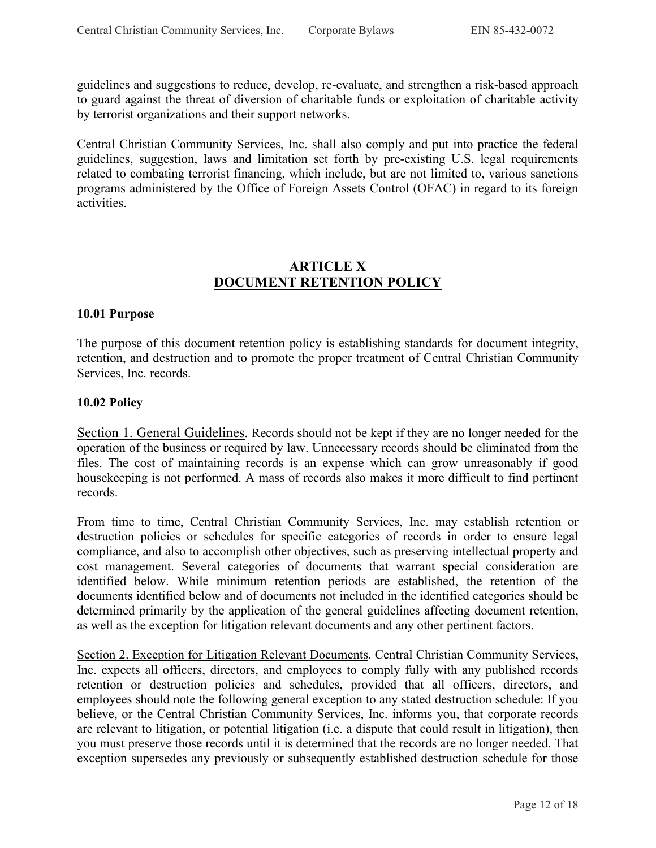guidelines and suggestions to reduce, develop, re-evaluate, and strengthen a risk-based approach to guard against the threat of diversion of charitable funds or exploitation of charitable activity by terrorist organizations and their support networks.

Central Christian Community Services, Inc. shall also comply and put into practice the federal guidelines, suggestion, laws and limitation set forth by pre-existing U.S. legal requirements related to combating terrorist financing, which include, but are not limited to, various sanctions programs administered by the Office of Foreign Assets Control (OFAC) in regard to its foreign activities.

# **ARTICLE X DOCUMENT RETENTION POLICY**

#### **10.01 Purpose**

The purpose of this document retention policy is establishing standards for document integrity, retention, and destruction and to promote the proper treatment of Central Christian Community Services, Inc. records.

#### **10.02 Policy**

Section 1. General Guidelines. Records should not be kept if they are no longer needed for the operation of the business or required by law. Unnecessary records should be eliminated from the files. The cost of maintaining records is an expense which can grow unreasonably if good housekeeping is not performed. A mass of records also makes it more difficult to find pertinent records.

From time to time, Central Christian Community Services, Inc. may establish retention or destruction policies or schedules for specific categories of records in order to ensure legal compliance, and also to accomplish other objectives, such as preserving intellectual property and cost management. Several categories of documents that warrant special consideration are identified below. While minimum retention periods are established, the retention of the documents identified below and of documents not included in the identified categories should be determined primarily by the application of the general guidelines affecting document retention, as well as the exception for litigation relevant documents and any other pertinent factors.

Section 2. Exception for Litigation Relevant Documents. Central Christian Community Services, Inc. expects all officers, directors, and employees to comply fully with any published records retention or destruction policies and schedules, provided that all officers, directors, and employees should note the following general exception to any stated destruction schedule: If you believe, or the Central Christian Community Services, Inc. informs you, that corporate records are relevant to litigation, or potential litigation (i.e. a dispute that could result in litigation), then you must preserve those records until it is determined that the records are no longer needed. That exception supersedes any previously or subsequently established destruction schedule for those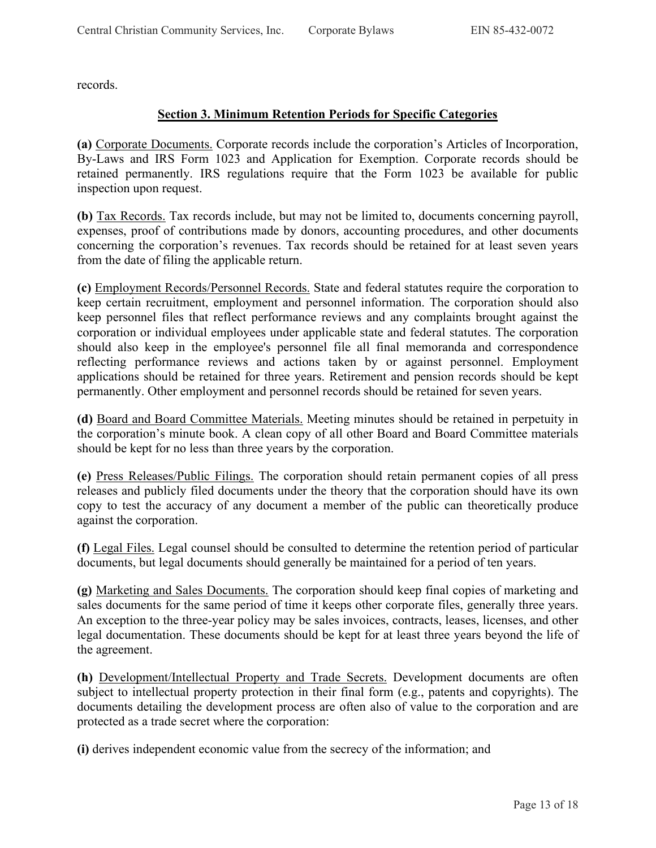records.

# **Section 3. Minimum Retention Periods for Specific Categories**

**(a)** Corporate Documents. Corporate records include the corporation's Articles of Incorporation, By-Laws and IRS Form 1023 and Application for Exemption. Corporate records should be retained permanently. IRS regulations require that the Form 1023 be available for public inspection upon request.

**(b)** Tax Records. Tax records include, but may not be limited to, documents concerning payroll, expenses, proof of contributions made by donors, accounting procedures, and other documents concerning the corporation's revenues. Tax records should be retained for at least seven years from the date of filing the applicable return.

**(c)** Employment Records/Personnel Records. State and federal statutes require the corporation to keep certain recruitment, employment and personnel information. The corporation should also keep personnel files that reflect performance reviews and any complaints brought against the corporation or individual employees under applicable state and federal statutes. The corporation should also keep in the employee's personnel file all final memoranda and correspondence reflecting performance reviews and actions taken by or against personnel. Employment applications should be retained for three years. Retirement and pension records should be kept permanently. Other employment and personnel records should be retained for seven years.

**(d)** Board and Board Committee Materials. Meeting minutes should be retained in perpetuity in the corporation's minute book. A clean copy of all other Board and Board Committee materials should be kept for no less than three years by the corporation.

**(e)** Press Releases/Public Filings. The corporation should retain permanent copies of all press releases and publicly filed documents under the theory that the corporation should have its own copy to test the accuracy of any document a member of the public can theoretically produce against the corporation.

**(f)** Legal Files. Legal counsel should be consulted to determine the retention period of particular documents, but legal documents should generally be maintained for a period of ten years.

**(g)** Marketing and Sales Documents. The corporation should keep final copies of marketing and sales documents for the same period of time it keeps other corporate files, generally three years. An exception to the three-year policy may be sales invoices, contracts, leases, licenses, and other legal documentation. These documents should be kept for at least three years beyond the life of the agreement.

**(h)** Development/Intellectual Property and Trade Secrets. Development documents are often subject to intellectual property protection in their final form (e.g., patents and copyrights). The documents detailing the development process are often also of value to the corporation and are protected as a trade secret where the corporation:

**(i)** derives independent economic value from the secrecy of the information; and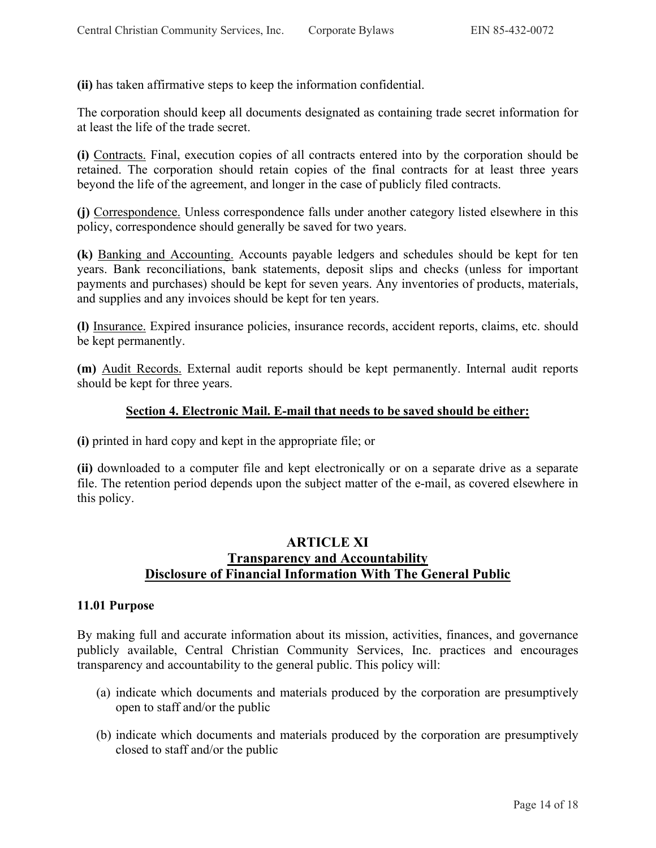**(ii)** has taken affirmative steps to keep the information confidential.

The corporation should keep all documents designated as containing trade secret information for at least the life of the trade secret.

**(i)** Contracts. Final, execution copies of all contracts entered into by the corporation should be retained. The corporation should retain copies of the final contracts for at least three years beyond the life of the agreement, and longer in the case of publicly filed contracts.

**(j)** Correspondence. Unless correspondence falls under another category listed elsewhere in this policy, correspondence should generally be saved for two years.

**(k)** Banking and Accounting. Accounts payable ledgers and schedules should be kept for ten years. Bank reconciliations, bank statements, deposit slips and checks (unless for important payments and purchases) should be kept for seven years. Any inventories of products, materials, and supplies and any invoices should be kept for ten years.

**(l)** Insurance. Expired insurance policies, insurance records, accident reports, claims, etc. should be kept permanently.

**(m)** Audit Records. External audit reports should be kept permanently. Internal audit reports should be kept for three years.

# **Section 4. Electronic Mail. E-mail that needs to be saved should be either:**

**(i)** printed in hard copy and kept in the appropriate file; or

**(ii)** downloaded to a computer file and kept electronically or on a separate drive as a separate file. The retention period depends upon the subject matter of the e-mail, as covered elsewhere in this policy.

# **ARTICLE XI Transparency and Accountability Disclosure of Financial Information With The General Public**

# **11.01 Purpose**

By making full and accurate information about its mission, activities, finances, and governance publicly available, Central Christian Community Services, Inc. practices and encourages transparency and accountability to the general public. This policy will:

- (a) indicate which documents and materials produced by the corporation are presumptively open to staff and/or the public
- (b) indicate which documents and materials produced by the corporation are presumptively closed to staff and/or the public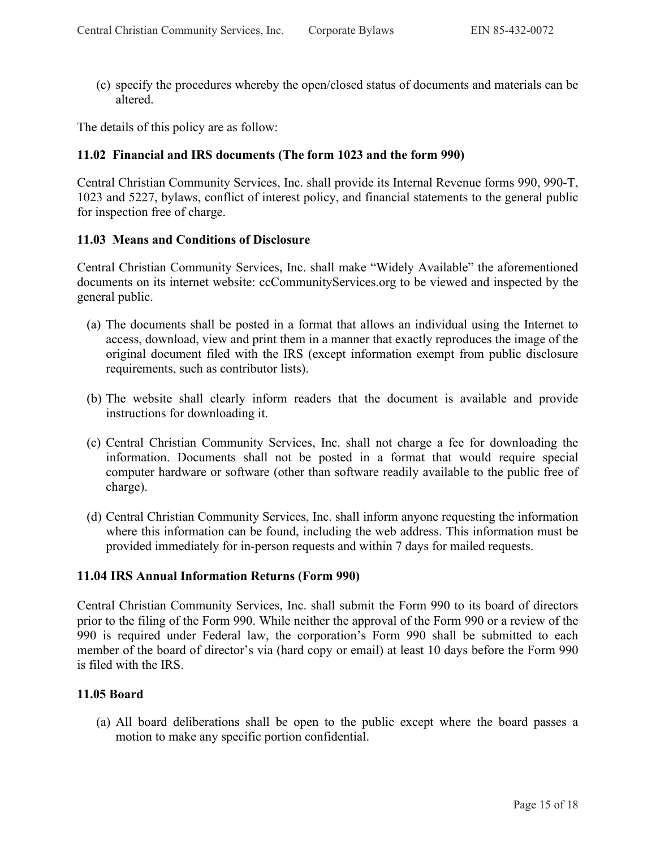(c) specify the procedures whereby the open/closed status of documents and materials can be altered.

The details of this policy are as follow:

### **11.02 Financial and IRS documents (The form 1023 and the form 990)**

Central Christian Community Services, Inc. shall provide its Internal Revenue forms 990, 990-T, 1023 and 5227, bylaws, conflict of interest policy, and financial statements to the general public for inspection free of charge.

#### **11.03 Means and Conditions of Disclosure**

Central Christian Community Services, Inc. shall make "Widely Available" the aforementioned documents on its internet website: ccCommunityServices.org to be viewed and inspected by the general public.

- (a) The documents shall be posted in a format that allows an individual using the Internet to access, download, view and print them in a manner that exactly reproduces the image of the original document filed with the IRS (except information exempt from public disclosure requirements, such as contributor lists).
- (b) The website shall clearly inform readers that the document is available and provide instructions for downloading it.
- (c) Central Christian Community Services, Inc. shall not charge a fee for downloading the information. Documents shall not be posted in a format that would require special computer hardware or software (other than software readily available to the public free of charge).
- (d) Central Christian Community Services, Inc. shall inform anyone requesting the information where this information can be found, including the web address. This information must be provided immediately for in-person requests and within 7 days for mailed requests.

# **11.04 IRS Annual Information Returns (Form 990)**

Central Christian Community Services, Inc. shall submit the Form 990 to its board of directors prior to the filing of the Form 990. While neither the approval of the Form 990 or a review of the 990 is required under Federal law, the corporation's Form 990 shall be submitted to each member of the board of director's via (hard copy or email) at least 10 days before the Form 990 is filed with the IRS.

# **11.05 Board**

(a) All board deliberations shall be open to the public except where the board passes a motion to make any specific portion confidential.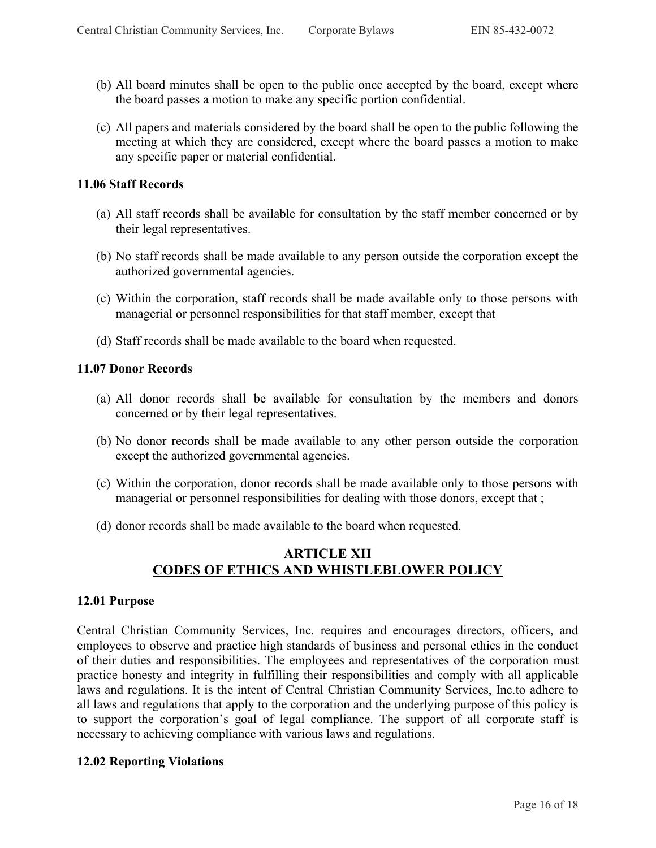- (b) All board minutes shall be open to the public once accepted by the board, except where the board passes a motion to make any specific portion confidential.
- (c) All papers and materials considered by the board shall be open to the public following the meeting at which they are considered, except where the board passes a motion to make any specific paper or material confidential.

# **11.06 Staff Records**

- (a) All staff records shall be available for consultation by the staff member concerned or by their legal representatives.
- (b) No staff records shall be made available to any person outside the corporation except the authorized governmental agencies.
- (c) Within the corporation, staff records shall be made available only to those persons with managerial or personnel responsibilities for that staff member, except that
- (d) Staff records shall be made available to the board when requested.

#### **11.07 Donor Records**

- (a) All donor records shall be available for consultation by the members and donors concerned or by their legal representatives.
- (b) No donor records shall be made available to any other person outside the corporation except the authorized governmental agencies.
- (c) Within the corporation, donor records shall be made available only to those persons with managerial or personnel responsibilities for dealing with those donors, except that ;
- (d) donor records shall be made available to the board when requested.

# **ARTICLE XII CODES OF ETHICS AND WHISTLEBLOWER POLICY**

#### **12.01 Purpose**

Central Christian Community Services, Inc. requires and encourages directors, officers, and employees to observe and practice high standards of business and personal ethics in the conduct of their duties and responsibilities. The employees and representatives of the corporation must practice honesty and integrity in fulfilling their responsibilities and comply with all applicable laws and regulations. It is the intent of Central Christian Community Services, Inc.to adhere to all laws and regulations that apply to the corporation and the underlying purpose of this policy is to support the corporation's goal of legal compliance. The support of all corporate staff is necessary to achieving compliance with various laws and regulations.

#### **12.02 Reporting Violations**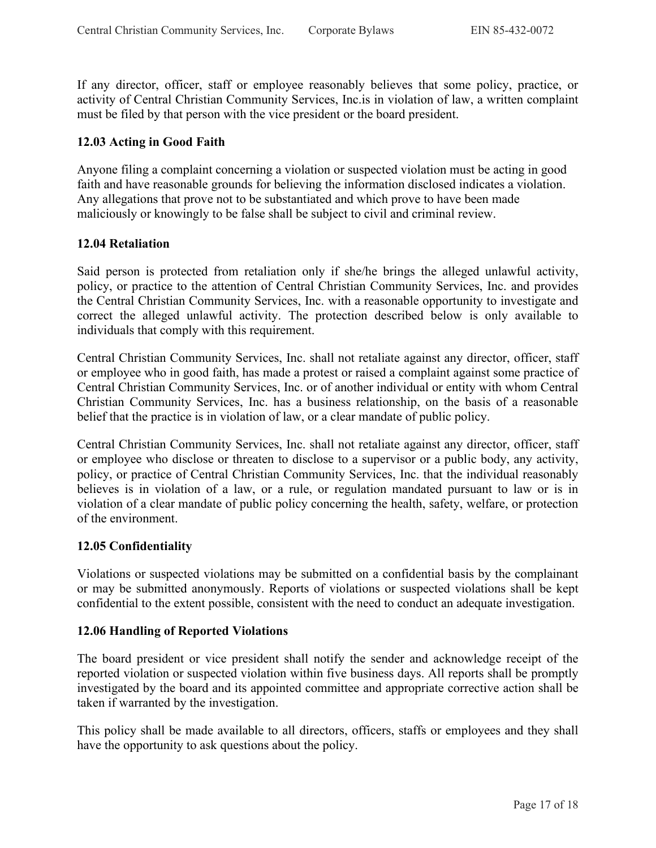If any director, officer, staff or employee reasonably believes that some policy, practice, or activity of Central Christian Community Services, Inc.is in violation of law, a written complaint must be filed by that person with the vice president or the board president.

# **12.03 Acting in Good Faith**

Anyone filing a complaint concerning a violation or suspected violation must be acting in good faith and have reasonable grounds for believing the information disclosed indicates a violation. Any allegations that prove not to be substantiated and which prove to have been made maliciously or knowingly to be false shall be subject to civil and criminal review.

# **12.04 Retaliation**

Said person is protected from retaliation only if she/he brings the alleged unlawful activity, policy, or practice to the attention of Central Christian Community Services, Inc. and provides the Central Christian Community Services, Inc. with a reasonable opportunity to investigate and correct the alleged unlawful activity. The protection described below is only available to individuals that comply with this requirement.

Central Christian Community Services, Inc. shall not retaliate against any director, officer, staff or employee who in good faith, has made a protest or raised a complaint against some practice of Central Christian Community Services, Inc. or of another individual or entity with whom Central Christian Community Services, Inc. has a business relationship, on the basis of a reasonable belief that the practice is in violation of law, or a clear mandate of public policy.

Central Christian Community Services, Inc. shall not retaliate against any director, officer, staff or employee who disclose or threaten to disclose to a supervisor or a public body, any activity, policy, or practice of Central Christian Community Services, Inc. that the individual reasonably believes is in violation of a law, or a rule, or regulation mandated pursuant to law or is in violation of a clear mandate of public policy concerning the health, safety, welfare, or protection of the environment.

# **12.05 Confidentiality**

Violations or suspected violations may be submitted on a confidential basis by the complainant or may be submitted anonymously. Reports of violations or suspected violations shall be kept confidential to the extent possible, consistent with the need to conduct an adequate investigation.

# **12.06 Handling of Reported Violations**

The board president or vice president shall notify the sender and acknowledge receipt of the reported violation or suspected violation within five business days. All reports shall be promptly investigated by the board and its appointed committee and appropriate corrective action shall be taken if warranted by the investigation.

This policy shall be made available to all directors, officers, staffs or employees and they shall have the opportunity to ask questions about the policy.